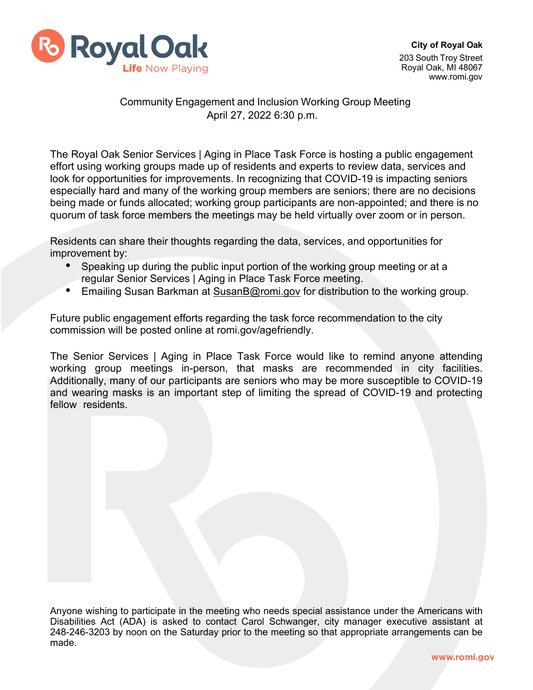

## Community Engagement and Inclusion Working Group Meeting April 27, 2022 6:30 p.m.

The Royal Oak Senior Services | Aging in Place Task Force is hosting a public engagement effort using working groups made up of residents and experts to review data, services and look for opportunities for improvements. In recognizing that COVID-19 is impacting seniors especially hard and many of the working group members are seniors; there are no decisions being made or funds allocated; working group participants are non-appointed; and there is no quorum of task force members the meetings may be held virtually over zoom or in person.

Residents can share their thoughts regarding the data, services, and opportunities for improvement by:

- Speaking up during the public input portion of the working group meeting or at a regular Senior Services | Aging in Place Task Force meeting.
- Emailing Susan Barkman at [SusanB@romi.gov](mailto:SusanB@romi.gov) for distribution to the working group.

Future public engagement efforts regarding the task force recommendation to the city commission will be posted online at romi.gov/agefriendly.

The Senior Services | Aging in Place Task Force would like to remind anyone attending working group meetings in-person, that masks are recommended in city facilities. Additionally, many of our participants are seniors who may be more susceptible to COVID-19 and wearing masks is an important step of limiting the spread of COVID-19 and protecting fellow residents.

Anyone wishing to participate in the meeting who needs special assistance under the Americans with Disabilities Act (ADA) is asked to contact Carol Schwanger, city manager executive assistant at 248-246-3203 by noon on the Saturday prior to the meeting so that appropriate arrangements can be made.